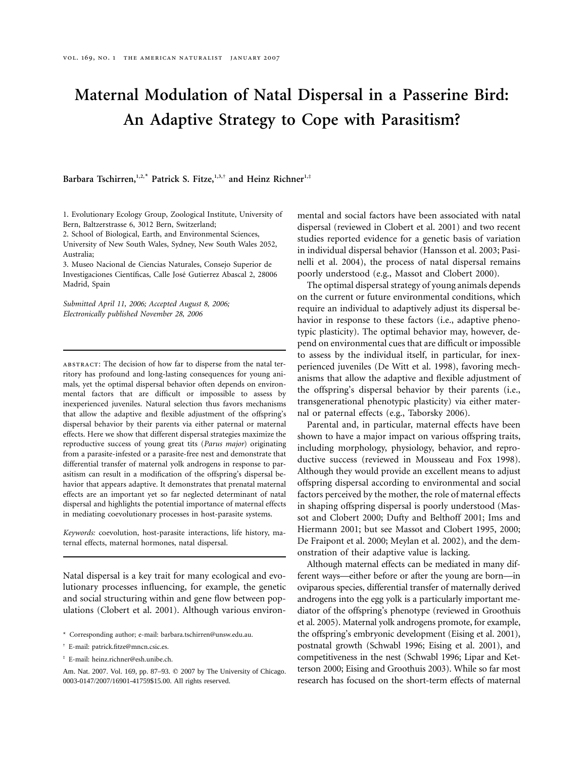# **Maternal Modulation of Natal Dispersal in a Passerine Bird: An Adaptive Strategy to Cope with Parasitism?**

**Barbara Tschirren,1,2,**\* **Patrick S. Fitze,1,3,**† **and Heinz Richner1,**‡

1. Evolutionary Ecology Group, Zoological Institute, University of Bern, Baltzerstrasse 6, 3012 Bern, Switzerland;

2. School of Biological, Earth, and Environmental Sciences, University of New South Wales, Sydney, New South Wales 2052,

Australia;

3. Museo Nacional de Ciencias Naturales, Consejo Superior de Investigaciones Científicas, Calle José Gutierrez Abascal 2, 28006 Madrid, Spain

*Submitted April 11, 2006; Accepted August 8, 2006; Electronically published November 28, 2006*

abstract: The decision of how far to disperse from the natal territory has profound and long-lasting consequences for young animals, yet the optimal dispersal behavior often depends on environmental factors that are difficult or impossible to assess by inexperienced juveniles. Natural selection thus favors mechanisms that allow the adaptive and flexible adjustment of the offspring's dispersal behavior by their parents via either paternal or maternal effects. Here we show that different dispersal strategies maximize the reproductive success of young great tits (*Parus major*) originating from a parasite-infested or a parasite-free nest and demonstrate that differential transfer of maternal yolk androgens in response to parasitism can result in a modification of the offspring's dispersal behavior that appears adaptive. It demonstrates that prenatal maternal effects are an important yet so far neglected determinant of natal dispersal and highlights the potential importance of maternal effects in mediating coevolutionary processes in host-parasite systems.

*Keywords:* coevolution, host-parasite interactions, life history, maternal effects, maternal hormones, natal dispersal.

Natal dispersal is a key trait for many ecological and evolutionary processes influencing, for example, the genetic and social structuring within and gene flow between populations (Clobert et al. 2001). Although various environmental and social factors have been associated with natal dispersal (reviewed in Clobert et al. 2001) and two recent studies reported evidence for a genetic basis of variation in individual dispersal behavior (Hansson et al. 2003; Pasinelli et al. 2004), the process of natal dispersal remains poorly understood (e.g., Massot and Clobert 2000).

The optimal dispersal strategy of young animals depends on the current or future environmental conditions, which require an individual to adaptively adjust its dispersal behavior in response to these factors (i.e., adaptive phenotypic plasticity). The optimal behavior may, however, depend on environmental cues that are difficult or impossible to assess by the individual itself, in particular, for inexperienced juveniles (De Witt et al. 1998), favoring mechanisms that allow the adaptive and flexible adjustment of the offspring's dispersal behavior by their parents (i.e., transgenerational phenotypic plasticity) via either maternal or paternal effects (e.g., Taborsky 2006).

Parental and, in particular, maternal effects have been shown to have a major impact on various offspring traits, including morphology, physiology, behavior, and reproductive success (reviewed in Mousseau and Fox 1998). Although they would provide an excellent means to adjust offspring dispersal according to environmental and social factors perceived by the mother, the role of maternal effects in shaping offspring dispersal is poorly understood (Massot and Clobert 2000; Dufty and Belthoff 2001; Ims and Hiermann 2001; but see Massot and Clobert 1995, 2000; De Fraipont et al. 2000; Meylan et al. 2002), and the demonstration of their adaptive value is lacking.

Although maternal effects can be mediated in many different ways—either before or after the young are born—in oviparous species, differential transfer of maternally derived androgens into the egg yolk is a particularly important mediator of the offspring's phenotype (reviewed in Groothuis et al. 2005). Maternal yolk androgens promote, for example, the offspring's embryonic development (Eising et al. 2001), postnatal growth (Schwabl 1996; Eising et al. 2001), and competitiveness in the nest (Schwabl 1996; Lipar and Ketterson 2000; Eising and Groothuis 2003). While so far most research has focused on the short-term effects of maternal

<sup>\*</sup> Corresponding author; e-mail: barbara.tschirren@unsw.edu.au.

<sup>†</sup> E-mail: patrick.fitze@mncn.csic.es.

<sup>‡</sup> E-mail: heinz.richner@esh.unibe.ch.

Am. Nat. 2007. Vol. 169, pp. 87-93. © 2007 by The University of Chicago. 0003-0147/2007/16901-41759\$15.00. All rights reserved.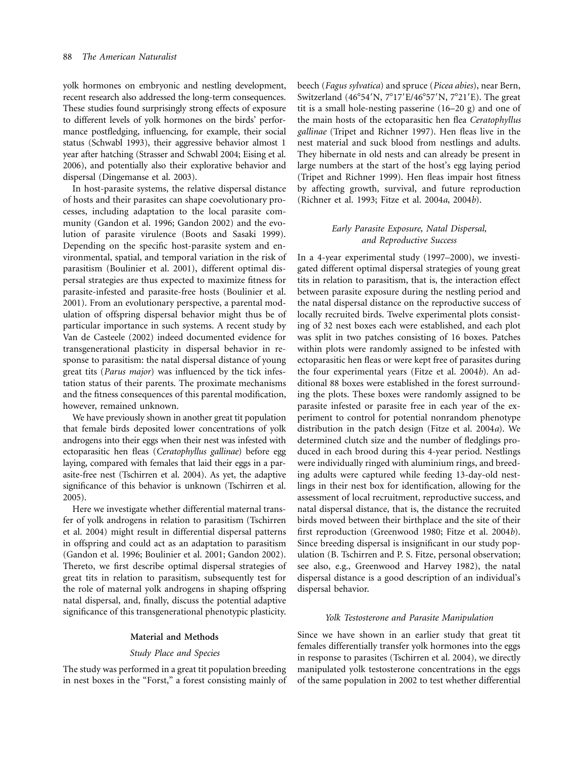yolk hormones on embryonic and nestling development, recent research also addressed the long-term consequences. These studies found surprisingly strong effects of exposure to different levels of yolk hormones on the birds' performance postfledging, influencing, for example, their social status (Schwabl 1993), their aggressive behavior almost 1 year after hatching (Strasser and Schwabl 2004; Eising et al. 2006), and potentially also their explorative behavior and dispersal (Dingemanse et al. 2003).

In host-parasite systems, the relative dispersal distance of hosts and their parasites can shape coevolutionary processes, including adaptation to the local parasite community (Gandon et al. 1996; Gandon 2002) and the evolution of parasite virulence (Boots and Sasaki 1999). Depending on the specific host-parasite system and environmental, spatial, and temporal variation in the risk of parasitism (Boulinier et al. 2001), different optimal dispersal strategies are thus expected to maximize fitness for parasite-infested and parasite-free hosts (Boulinier et al. 2001). From an evolutionary perspective, a parental modulation of offspring dispersal behavior might thus be of particular importance in such systems. A recent study by Van de Casteele (2002) indeed documented evidence for transgenerational plasticity in dispersal behavior in response to parasitism: the natal dispersal distance of young great tits (*Parus major*) was influenced by the tick infestation status of their parents. The proximate mechanisms and the fitness consequences of this parental modification, however, remained unknown.

We have previously shown in another great tit population that female birds deposited lower concentrations of yolk androgens into their eggs when their nest was infested with ectoparasitic hen fleas (*Ceratophyllus gallinae*) before egg laying, compared with females that laid their eggs in a parasite-free nest (Tschirren et al. 2004). As yet, the adaptive significance of this behavior is unknown (Tschirren et al. 2005).

Here we investigate whether differential maternal transfer of yolk androgens in relation to parasitism (Tschirren et al. 2004) might result in differential dispersal patterns in offspring and could act as an adaptation to parasitism (Gandon et al. 1996; Boulinier et al. 2001; Gandon 2002). Thereto, we first describe optimal dispersal strategies of great tits in relation to parasitism, subsequently test for the role of maternal yolk androgens in shaping offspring natal dispersal, and, finally, discuss the potential adaptive significance of this transgenerational phenotypic plasticity.

# **Material and Methods**

# *Study Place and Species*

The study was performed in a great tit population breeding in nest boxes in the "Forst," a forest consisting mainly of beech (*Fagus sylvatica*) and spruce (*Picea abies*), near Bern, Switzerland (46°54'N, 7°17'E/46°57'N, 7°21'E). The great tit is a small hole-nesting passerine (16–20 g) and one of the main hosts of the ectoparasitic hen flea *Ceratophyllus gallinae* (Tripet and Richner 1997). Hen fleas live in the nest material and suck blood from nestlings and adults. They hibernate in old nests and can already be present in large numbers at the start of the host's egg laying period (Tripet and Richner 1999). Hen fleas impair host fitness by affecting growth, survival, and future reproduction (Richner et al. 1993; Fitze et al. 2004*a*, 2004*b*).

# *Early Parasite Exposure, Natal Dispersal, and Reproductive Success*

In a 4-year experimental study (1997–2000), we investigated different optimal dispersal strategies of young great tits in relation to parasitism, that is, the interaction effect between parasite exposure during the nestling period and the natal dispersal distance on the reproductive success of locally recruited birds. Twelve experimental plots consisting of 32 nest boxes each were established, and each plot was split in two patches consisting of 16 boxes. Patches within plots were randomly assigned to be infested with ectoparasitic hen fleas or were kept free of parasites during the four experimental years (Fitze et al. 2004*b*). An additional 88 boxes were established in the forest surrounding the plots. These boxes were randomly assigned to be parasite infested or parasite free in each year of the experiment to control for potential nonrandom phenotype distribution in the patch design (Fitze et al. 2004*a*). We determined clutch size and the number of fledglings produced in each brood during this 4-year period. Nestlings were individually ringed with aluminium rings, and breeding adults were captured while feeding 13-day-old nestlings in their nest box for identification, allowing for the assessment of local recruitment, reproductive success, and natal dispersal distance, that is, the distance the recruited birds moved between their birthplace and the site of their first reproduction (Greenwood 1980; Fitze et al. 2004*b*). Since breeding dispersal is insignificant in our study population (B. Tschirren and P. S. Fitze, personal observation; see also, e.g., Greenwood and Harvey 1982), the natal dispersal distance is a good description of an individual's dispersal behavior.

#### *Yolk Testosterone and Parasite Manipulation*

Since we have shown in an earlier study that great tit females differentially transfer yolk hormones into the eggs in response to parasites (Tschirren et al. 2004), we directly manipulated yolk testosterone concentrations in the eggs of the same population in 2002 to test whether differential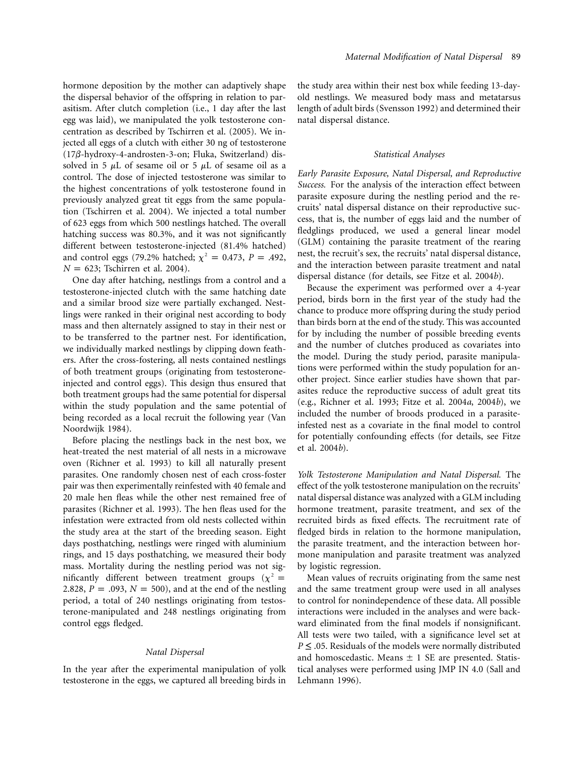hormone deposition by the mother can adaptively shape the dispersal behavior of the offspring in relation to parasitism. After clutch completion (i.e., 1 day after the last egg was laid), we manipulated the yolk testosterone concentration as described by Tschirren et al. (2005). We injected all eggs of a clutch with either 30 ng of testosterone (17b-hydroxy-4-androsten-3-on; Fluka, Switzerland) dissolved in 5  $\mu$ L of sesame oil or 5  $\mu$ L of sesame oil as a control. The dose of injected testosterone was similar to the highest concentrations of yolk testosterone found in previously analyzed great tit eggs from the same population (Tschirren et al. 2004). We injected a total number of 623 eggs from which 500 nestlings hatched. The overall hatching success was 80.3%, and it was not significantly different between testosterone-injected (81.4% hatched) and control eggs (79.2% hatched;  $\chi^2 = 0.473$ ,  $P = .492$ ,  $N = 623$ ; Tschirren et al. 2004).

One day after hatching, nestlings from a control and a testosterone-injected clutch with the same hatching date and a similar brood size were partially exchanged. Nestlings were ranked in their original nest according to body mass and then alternately assigned to stay in their nest or to be transferred to the partner nest. For identification, we individually marked nestlings by clipping down feathers. After the cross-fostering, all nests contained nestlings of both treatment groups (originating from testosteroneinjected and control eggs). This design thus ensured that both treatment groups had the same potential for dispersal within the study population and the same potential of being recorded as a local recruit the following year (Van Noordwijk 1984).

Before placing the nestlings back in the nest box, we heat-treated the nest material of all nests in a microwave oven (Richner et al. 1993) to kill all naturally present parasites. One randomly chosen nest of each cross-foster pair was then experimentally reinfested with 40 female and 20 male hen fleas while the other nest remained free of parasites (Richner et al. 1993). The hen fleas used for the infestation were extracted from old nests collected within the study area at the start of the breeding season. Eight days posthatching, nestlings were ringed with aluminium rings, and 15 days posthatching, we measured their body mass. Mortality during the nestling period was not significantly different between treatment groups ( $\chi^2$  = 2.828,  $P = .093$ ,  $N = 500$ ), and at the end of the nestling period, a total of 240 nestlings originating from testosterone-manipulated and 248 nestlings originating from control eggs fledged.

# *Natal Dispersal*

In the year after the experimental manipulation of yolk testosterone in the eggs, we captured all breeding birds in

the study area within their nest box while feeding 13-dayold nestlings. We measured body mass and metatarsus length of adult birds (Svensson 1992) and determined their natal dispersal distance.

# *Statistical Analyses*

*Early Parasite Exposure, Natal Dispersal, and Reproductive Success.* For the analysis of the interaction effect between parasite exposure during the nestling period and the recruits' natal dispersal distance on their reproductive success, that is, the number of eggs laid and the number of fledglings produced, we used a general linear model (GLM) containing the parasite treatment of the rearing nest, the recruit's sex, the recruits' natal dispersal distance, and the interaction between parasite treatment and natal dispersal distance (for details, see Fitze et al. 2004*b*).

Because the experiment was performed over a 4-year period, birds born in the first year of the study had the chance to produce more offspring during the study period than birds born at the end of the study. This was accounted for by including the number of possible breeding events and the number of clutches produced as covariates into the model. During the study period, parasite manipulations were performed within the study population for another project. Since earlier studies have shown that parasites reduce the reproductive success of adult great tits (e.g., Richner et al. 1993; Fitze et al. 2004*a*, 2004*b*), we included the number of broods produced in a parasiteinfested nest as a covariate in the final model to control for potentially confounding effects (for details, see Fitze et al. 2004*b*).

*Yolk Testosterone Manipulation and Natal Dispersal.* The effect of the yolk testosterone manipulation on the recruits' natal dispersal distance was analyzed with a GLM including hormone treatment, parasite treatment, and sex of the recruited birds as fixed effects. The recruitment rate of fledged birds in relation to the hormone manipulation, the parasite treatment, and the interaction between hormone manipulation and parasite treatment was analyzed by logistic regression.

Mean values of recruits originating from the same nest and the same treatment group were used in all analyses to control for nonindependence of these data. All possible interactions were included in the analyses and were backward eliminated from the final models if nonsignificant. All tests were two tailed, with a significance level set at *P* ≤ .05. Residuals of the models were normally distributed and homoscedastic. Means  $\pm$  1 SE are presented. Statistical analyses were performed using JMP IN 4.0 (Sall and Lehmann 1996).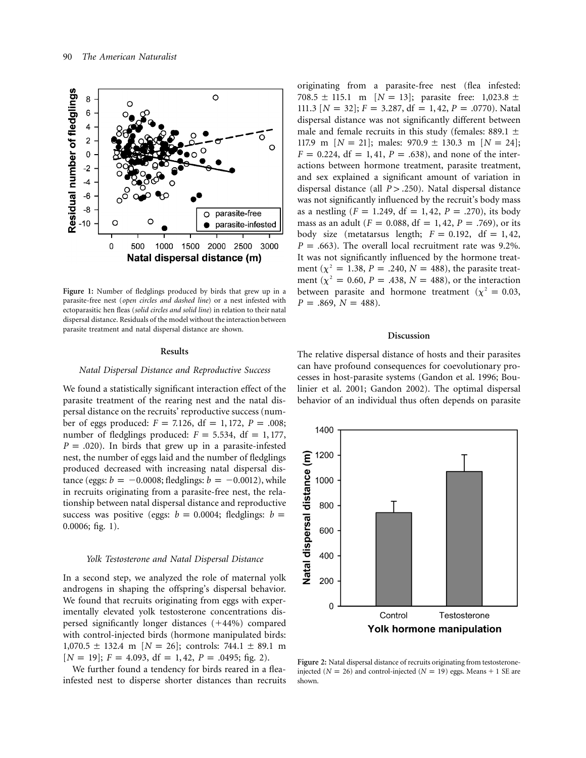

Figure 1: Number of fledglings produced by birds that grew up in a parasite-free nest (*open circles and dashed line*) or a nest infested with ectoparasitic hen fleas (*solid circles and solid line*) in relation to their natal dispersal distance. Residuals of the model without the interaction between parasite treatment and natal dispersal distance are shown.

#### **Results**

#### *Natal Dispersal Distance and Reproductive Success*

We found a statistically significant interaction effect of the parasite treatment of the rearing nest and the natal dispersal distance on the recruits' reproductive success (number of eggs produced:  $F = 7.126$ , df = 1, 172,  $P = .008$ ; number of fledglings produced:  $F = 5.534$ , df = 1, 177,  $P = .020$ ). In birds that grew up in a parasite-infested nest, the number of eggs laid and the number of fledglings produced decreased with increasing natal dispersal distance (eggs:  $b = -0.0008$ ; fledglings:  $b = -0.0012$ ), while in recruits originating from a parasite-free nest, the relationship between natal dispersal distance and reproductive success was positive (eggs:  $b = 0.0004$ ; fledglings:  $b =$ 0.0006; fig. 1).

# *Yolk Testosterone and Natal Dispersal Distance*

In a second step, we analyzed the role of maternal yolk androgens in shaping the offspring's dispersal behavior. We found that recruits originating from eggs with experimentally elevated yolk testosterone concentrations dispersed significantly longer distances  $(+44%)$  compared with control-injected birds (hormone manipulated birds:  $1,070.5 \pm 132.4 \text{ m}$   $[N = 26]$ ; controls: 744.1  $\pm$  89.1 m  $[N = 19]$ ;  $F = 4.093$ ,  $df = 1, 42$ ,  $P = .0495$ ; fig. 2).

We further found a tendency for birds reared in a fleainfested nest to disperse shorter distances than recruits originating from a parasite-free nest (flea infested: 708.5  $\pm$  115.1 m  $[N = 13]$ ; parasite free: 1,023.8  $\pm$ 111.3  $[N = 32]$ ;  $F = 3.287$ ,  $df = 1, 42$ ,  $P = .0770$ ). Natal dispersal distance was not significantly different between male and female recruits in this study (females: 889.1  $\pm$ 117.9 m  $[N = 21]$ ; males:  $970.9 \pm 130.3$  m  $[N = 24]$ ;  $F = 0.224$ , df = 1, 41, *P* = .638), and none of the interactions between hormone treatment, parasite treatment, and sex explained a significant amount of variation in dispersal distance (all *P* > .250). Natal dispersal distance was not significantly influenced by the recruit's body mass as a nestling  $(F = 1.249, df = 1, 42, P = .270)$ , its body mass as an adult ( $F = 0.088$ , df = 1, 42,  $P = .769$ ), or its body size (metatarsus length;  $F = 0.192$ , df = 1, 42,  $P = .663$ ). The overall local recruitment rate was 9.2%. It was not significantly influenced by the hormone treatment ( $\chi^2$  = 1.38, *P* = .240, *N* = 488), the parasite treatment ( $\chi^2$  = 0.60, *P* = .438, *N* = 488), or the interaction between parasite and hormone treatment ( $\chi^2 = 0.03$ ,  $P = .869, N = 488.$ 

#### **Discussion**

The relative dispersal distance of hosts and their parasites can have profound consequences for coevolutionary processes in host-parasite systems (Gandon et al. 1996; Boulinier et al. 2001; Gandon 2002). The optimal dispersal behavior of an individual thus often depends on parasite



**Figure 2:** Natal dispersal distance of recruits originating from testosteroneinjected ( $N = 26$ ) and control-injected ( $N = 19$ ) eggs. Means  $+ 1$  SE are shown.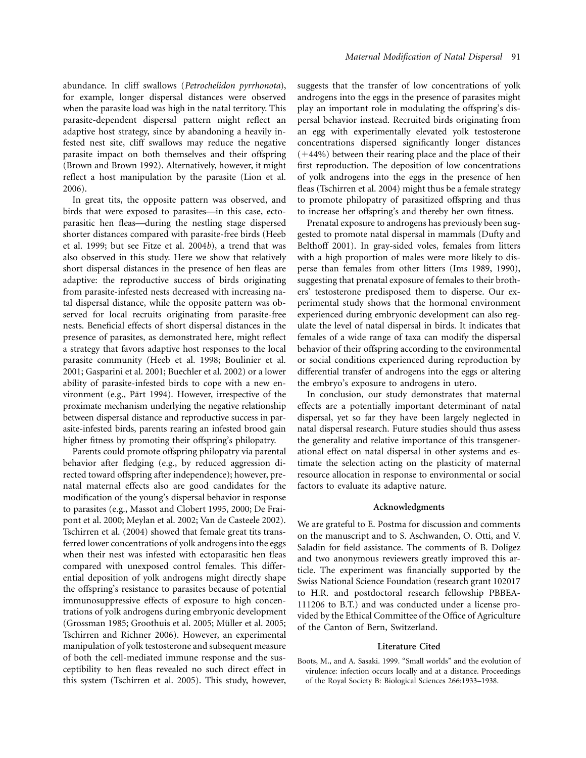abundance. In cliff swallows (*Petrochelidon pyrrhonota*), for example, longer dispersal distances were observed when the parasite load was high in the natal territory. This parasite-dependent dispersal pattern might reflect an adaptive host strategy, since by abandoning a heavily infested nest site, cliff swallows may reduce the negative parasite impact on both themselves and their offspring (Brown and Brown 1992). Alternatively, however, it might reflect a host manipulation by the parasite (Lion et al. 2006).

In great tits, the opposite pattern was observed, and birds that were exposed to parasites—in this case, ectoparasitic hen fleas—during the nestling stage dispersed shorter distances compared with parasite-free birds (Heeb et al. 1999; but see Fitze et al. 2004*b*), a trend that was also observed in this study. Here we show that relatively short dispersal distances in the presence of hen fleas are adaptive: the reproductive success of birds originating from parasite-infested nests decreased with increasing natal dispersal distance, while the opposite pattern was observed for local recruits originating from parasite-free nests. Beneficial effects of short dispersal distances in the presence of parasites, as demonstrated here, might reflect a strategy that favors adaptive host responses to the local parasite community (Heeb et al. 1998; Boulinier et al. 2001; Gasparini et al. 2001; Buechler et al. 2002) or a lower ability of parasite-infested birds to cope with a new environment (e.g., Pärt 1994). However, irrespective of the proximate mechanism underlying the negative relationship between dispersal distance and reproductive success in parasite-infested birds, parents rearing an infested brood gain higher fitness by promoting their offspring's philopatry.

Parents could promote offspring philopatry via parental behavior after fledging (e.g., by reduced aggression directed toward offspring after independence); however, prenatal maternal effects also are good candidates for the modification of the young's dispersal behavior in response to parasites (e.g., Massot and Clobert 1995, 2000; De Fraipont et al. 2000; Meylan et al. 2002; Van de Casteele 2002). Tschirren et al. (2004) showed that female great tits transferred lower concentrations of yolk androgens into the eggs when their nest was infested with ectoparasitic hen fleas compared with unexposed control females. This differential deposition of yolk androgens might directly shape the offspring's resistance to parasites because of potential immunosuppressive effects of exposure to high concentrations of yolk androgens during embryonic development (Grossman 1985; Groothuis et al. 2005; Müller et al. 2005; Tschirren and Richner 2006). However, an experimental manipulation of yolk testosterone and subsequent measure of both the cell-mediated immune response and the susceptibility to hen fleas revealed no such direct effect in this system (Tschirren et al. 2005). This study, however, suggests that the transfer of low concentrations of yolk androgens into the eggs in the presence of parasites might play an important role in modulating the offspring's dispersal behavior instead. Recruited birds originating from an egg with experimentally elevated yolk testosterone concentrations dispersed significantly longer distances  $(+44%)$  between their rearing place and the place of their first reproduction. The deposition of low concentrations of yolk androgens into the eggs in the presence of hen fleas (Tschirren et al. 2004) might thus be a female strategy to promote philopatry of parasitized offspring and thus to increase her offspring's and thereby her own fitness.

Prenatal exposure to androgens has previously been suggested to promote natal dispersal in mammals (Dufty and Belthoff 2001). In gray-sided voles, females from litters with a high proportion of males were more likely to disperse than females from other litters (Ims 1989, 1990), suggesting that prenatal exposure of females to their brothers' testosterone predisposed them to disperse. Our experimental study shows that the hormonal environment experienced during embryonic development can also regulate the level of natal dispersal in birds. It indicates that females of a wide range of taxa can modify the dispersal behavior of their offspring according to the environmental or social conditions experienced during reproduction by differential transfer of androgens into the eggs or altering the embryo's exposure to androgens in utero.

In conclusion, our study demonstrates that maternal effects are a potentially important determinant of natal dispersal, yet so far they have been largely neglected in natal dispersal research. Future studies should thus assess the generality and relative importance of this transgenerational effect on natal dispersal in other systems and estimate the selection acting on the plasticity of maternal resource allocation in response to environmental or social factors to evaluate its adaptive nature.

# **Acknowledgments**

We are grateful to E. Postma for discussion and comments on the manuscript and to S. Aschwanden, O. Otti, and V. Saladin for field assistance. The comments of B. Doligez and two anonymous reviewers greatly improved this article. The experiment was financially supported by the Swiss National Science Foundation (research grant 102017 to H.R. and postdoctoral research fellowship PBBEA-111206 to B.T.) and was conducted under a license provided by the Ethical Committee of the Office of Agriculture of the Canton of Bern, Switzerland.

# **Literature Cited**

Boots, M., and A. Sasaki. 1999. "Small worlds" and the evolution of virulence: infection occurs locally and at a distance. Proceedings of the Royal Society B: Biological Sciences 266:1933–1938.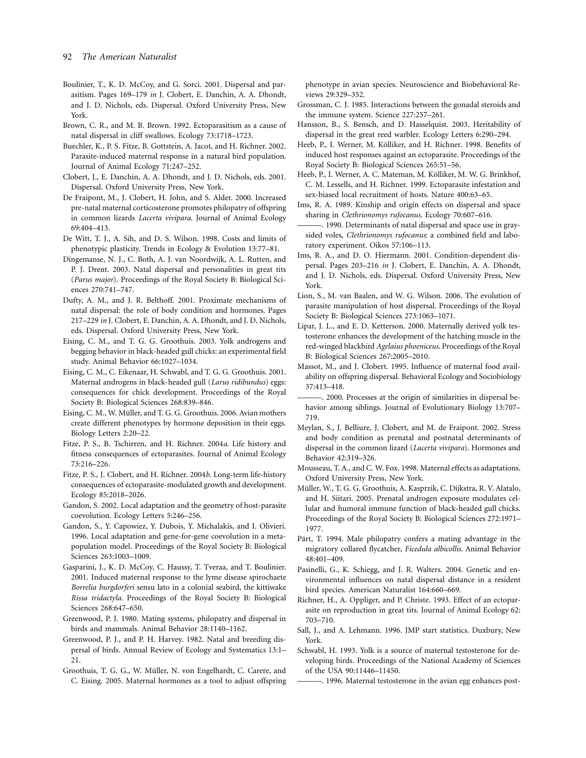- Boulinier, T., K. D. McCoy, and G. Sorci. 2001. Dispersal and parasitism. Pages 169–179 *in* J. Clobert, E. Danchin, A. A. Dhondt, and J. D. Nichols, eds. Dispersal. Oxford University Press, New York.
- Brown, C. R., and M. B. Brown. 1992. Ectoparasitism as a cause of natal dispersal in cliff swallows. Ecology 73:1718–1723.
- Buechler, K., P. S. Fitze, B. Gottstein, A. Jacot, and H. Richner. 2002. Parasite-induced maternal response in a natural bird population. Journal of Animal Ecology 71:247–252.
- Clobert, J., E. Danchin, A. A. Dhondt, and J. D. Nichols, eds. 2001. Dispersal. Oxford University Press, New York.
- De Fraipont, M., J. Clobert, H. John, and S. Alder. 2000. Increased pre-natal maternal corticosterone promotes philopatry of offspring in common lizards *Lacerta vivipara*. Journal of Animal Ecology 69:404–413.
- De Witt, T. J., A. Sih, and D. S. Wilson. 1998. Costs and limits of phenotypic plasticity. Trends in Ecology & Evolution 13:77–81.
- Dingemanse, N. J., C. Both, A. J. van Noordwijk, A. L. Rutten, and P. J. Drent. 2003. Natal dispersal and personalities in great tits (*Parus major*). Proceedings of the Royal Society B: Biological Sciences 270:741–747.
- Dufty, A. M., and J. R. Belthoff. 2001. Proximate mechanisms of natal dispersal: the role of body condition and hormones. Pages 217–229 *in* J. Clobert, E. Danchin, A. A. Dhondt, and J. D. Nichols, eds. Dispersal. Oxford University Press, New York.
- Eising, C. M., and T. G. G. Groothuis. 2003. Yolk androgens and begging behavior in black-headed gull chicks: an experimental field study. Animal Behavior 66:1027–1034.
- Eising, C. M., C. Eikenaar, H. Schwabl, and T. G. G. Groothuis. 2001. Maternal androgens in black-headed gull (*Larus ridibundus*) eggs: consequences for chick development. Proceedings of the Royal Society B: Biological Sciences 268:839–846.
- Eising, C. M., W. Müller, and T. G. G. Groothuis. 2006. Avian mothers create different phenotypes by hormone deposition in their eggs. Biology Letters 2:20–22.
- Fitze, P. S., B. Tschirren, and H. Richner. 2004*a*. Life history and fitness consequences of ectoparasites. Journal of Animal Ecology 73:216–226.
- Fitze, P. S., J. Clobert, and H. Richner. 2004*b*. Long-term life-history consequences of ectoparasite-modulated growth and development. Ecology 85:2018–2026.
- Gandon, S. 2002. Local adaptation and the geometry of host-parasite coevolution. Ecology Letters 5:246–256.
- Gandon, S., Y. Capowiez, Y. Dubois, Y. Michalakis, and I. Olivieri. 1996. Local adaptation and gene-for-gene coevolution in a metapopulation model. Proceedings of the Royal Society B: Biological Sciences 263:1003–1009.
- Gasparini, J., K. D. McCoy, C. Haussy, T. Tveraa, and T. Boulinier. 2001. Induced maternal response to the lyme disease spirochaete *Borrelia burgdorferi* sensu lato in a colonial seabird, the kittiwake *Rissa tridactyla*. Proceedings of the Royal Society B: Biological Sciences 268:647–650.
- Greenwood, P. J. 1980. Mating systems, philopatry and dispersal in birds and mammals. Animal Behavior 28:1140–1162.
- Greenwood, P. J., and P. H. Harvey. 1982. Natal and breeding dispersal of birds. Annual Review of Ecology and Systematics 13:1– 21.
- Groothuis, T. G. G., W. Müller, N. von Engelhardt, C. Carere, and C. Eising. 2005. Maternal hormones as a tool to adjust offspring

phenotype in avian species. Neuroscience and Biobehavioral Reviews 29:329–352.

- Grossman, C. J. 1985. Interactions between the gonadal steroids and the immune system. Science 227:257–261.
- Hansson, B., S. Bensch, and D. Hasselquist. 2003. Heritability of dispersal in the great reed warbler. Ecology Letters 6:290–294.
- Heeb, P., I. Werner, M. Kölliker, and H. Richner. 1998. Benefits of induced host responses against an ectoparasite. Proceedings of the Royal Society B: Biological Sciences 265:51–56.
- Heeb, P., I. Werner, A. C. Mateman, M. Kölliker, M. W. G. Brinkhof, C. M. Lessells, and H. Richner. 1999. Ectoparasite infestation and sex-biased local recruitment of hosts. Nature 400:63–65.
- Ims, R. A. 1989. Kinship and origin effects on dispersal and space sharing in *Clethrionomys rufocanus*. Ecology 70:607–616.
- -. 1990. Determinants of natal dispersal and space use in graysided voles, *Clethrionomys rufocanus*: a combined field and laboratory experiment. Oikos 57:106–113.
- Ims, R. A., and D. O. Hiermann. 2001. Condition-dependent dispersal. Pages 203–216 *in* J. Clobert, E. Danchin, A. A. Dhondt, and J. D. Nichols, eds. Dispersal. Oxford University Press, New York.
- Lion, S., M. van Baalen, and W. G. Wilson. 2006. The evolution of parasite manipulation of host dispersal. Proceedings of the Royal Society B: Biological Sciences 273:1063–1071.
- Lipar, J. L., and E. D. Ketterson. 2000. Maternally derived yolk testosterone enhances the development of the hatching muscle in the red-winged blackbird *Agelaius phoeniceus*. Proceedings of the Royal B: Biological Sciences 267:2005–2010.
- Massot, M., and J. Clobert. 1995. Influence of maternal food availability on offspring dispersal. Behavioral Ecology and Sociobiology 37:413–418.
- ———. 2000. Processes at the origin of similarities in dispersal behavior among siblings. Journal of Evolutionary Biology 13:707– 719.
- Meylan, S., J. Belliure, J. Clobert, and M. de Fraipont. 2002. Stress and body condition as prenatal and postnatal determinants of dispersal in the common lizard (*Lacerta vivipara*). Hormones and Behavior 42:319–326.
- Mousseau, T. A., and C. W. Fox. 1998. Maternal effects as adaptations. Oxford University Press, New York.
- Müller, W., T. G. G. Groothuis, A. Kasprzik, C. Dijkstra, R. V. Alatalo, and H. Siitari. 2005. Prenatal androgen exposure modulates cellular and humoral immune function of black-headed gull chicks. Proceedings of the Royal Society B: Biological Sciences 272:1971– 1977.
- Pärt, T. 1994. Male philopatry confers a mating advantage in the migratory collared flycatcher, *Ficedula albicollis*. Animal Behavior 48:401–409.
- Pasinelli, G., K. Schiegg, and J. R. Walters. 2004. Genetic and environmental influences on natal dispersal distance in a resident bird species. American Naturalist 164:660–669.
- Richner, H., A. Oppliger, and P. Christe. 1993. Effect of an ectoparasite on reproduction in great tits. Journal of Animal Ecology 62: 703–710.
- Sall, J., and A. Lehmann. 1996. JMP start statistics. Duxbury, New York.
- Schwabl, H. 1993. Yolk is a source of maternal testosterone for developing birds. Proceedings of the National Academy of Sciences of the USA 90:11446–11450.
- ———. 1996. Maternal testosterone in the avian egg enhances post-